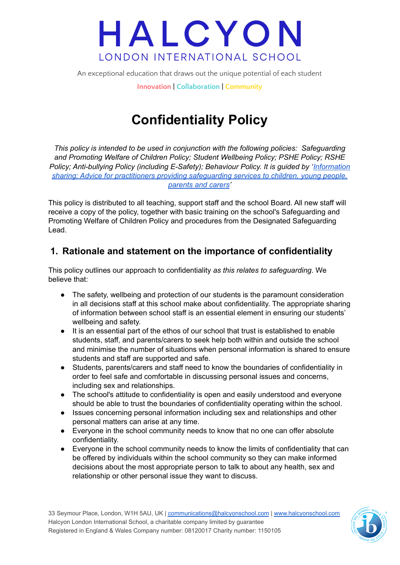An exceptional education that draws out the unique potential of each student

**Innovation | Collaboration | Community**

### **Confidentiality Policy**

*This policy is intended to be used in conjunction with the following policies: Safeguarding and Promoting Welfare of Children Policy; Student Wellbeing Policy; PSHE Policy; RSHE Policy; Anti-bullying Policy (including E-Safety); Behaviour Policy. It is guided by '[Information](https://assets.publishing.service.gov.uk/government/uploads/system/uploads/attachment_data/file/721581/Information_sharing_advice_practitioners_safeguarding_services.pdf) sharing; Advice for practitioners providing [safeguarding](https://assets.publishing.service.gov.uk/government/uploads/system/uploads/attachment_data/file/721581/Information_sharing_advice_practitioners_safeguarding_services.pdf) services to children, young people, [parents](https://assets.publishing.service.gov.uk/government/uploads/system/uploads/attachment_data/file/721581/Information_sharing_advice_practitioners_safeguarding_services.pdf) and carers'*

This policy is distributed to all teaching, support staff and the school Board. All new staff will receive a copy of the policy, together with basic training on the school's Safeguarding and Promoting Welfare of Children Policy and procedures from the Designated Safeguarding Lead.

### **1. Rationale and statement on the importance of confidentiality**

This policy outlines our approach to confidentiality *as this relates to safeguarding*. We believe that:

- The safety, wellbeing and protection of our students is the paramount consideration in all decisions staff at this school make about confidentiality. The appropriate sharing of information between school staff is an essential element in ensuring our students' wellbeing and safety.
- It is an essential part of the ethos of our school that trust is established to enable students, staff, and parents/carers to seek help both within and outside the school and minimise the number of situations when personal information is shared to ensure students and staff are supported and safe.
- Students, parents/carers and staff need to know the boundaries of confidentiality in order to feel safe and comfortable in discussing personal issues and concerns, including sex and relationships.
- The school's attitude to confidentiality is open and easily understood and everyone should be able to trust the boundaries of confidentiality operating within the school.
- Issues concerning personal information including sex and relationships and other personal matters can arise at any time.
- Everyone in the school community needs to know that no one can offer absolute confidentiality.
- Everyone in the school community needs to know the limits of confidentiality that can be offered by individuals within the school community so they can make informed decisions about the most appropriate person to talk to about any health, sex and relationship or other personal issue they want to discuss.

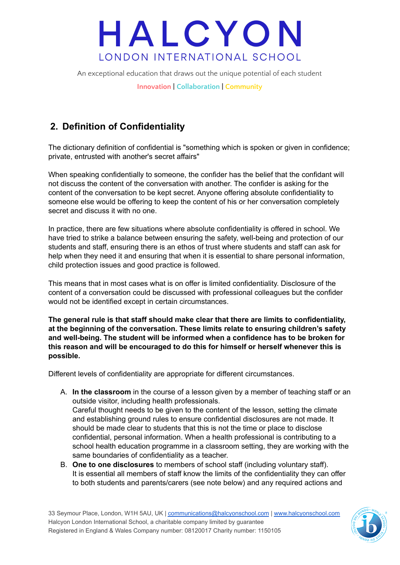An exceptional education that draws out the unique potential of each student

**Innovation | Collaboration | Community**

### **2. Definition of Confidentiality**

The dictionary definition of confidential is "something which is spoken or given in confidence; private, entrusted with another's secret affairs"

When speaking confidentially to someone, the confider has the belief that the confidant will not discuss the content of the conversation with another. The confider is asking for the content of the conversation to be kept secret. Anyone offering absolute confidentiality to someone else would be offering to keep the content of his or her conversation completely secret and discuss it with no one.

In practice, there are few situations where absolute confidentiality is offered in school. We have tried to strike a balance between ensuring the safety, well-being and protection of our students and staff, ensuring there is an ethos of trust where students and staff can ask for help when they need it and ensuring that when it is essential to share personal information, child protection issues and good practice is followed.

This means that in most cases what is on offer is limited confidentiality. Disclosure of the content of a conversation could be discussed with professional colleagues but the confider would not be identified except in certain circumstances.

**The general rule is that staff should make clear that there are limits to confidentiality, at the beginning of the conversation. These limits relate to ensuring children's safety and well-being. The student will be informed when a confidence has to be broken for this reason and will be encouraged to do this for himself or herself whenever this is possible.**

Different levels of confidentiality are appropriate for different circumstances.

- A. **In the classroom** in the course of a lesson given by a member of teaching staff or an outside visitor, including health professionals. Careful thought needs to be given to the content of the lesson, setting the climate and establishing ground rules to ensure confidential disclosures are not made. It should be made clear to students that this is not the time or place to disclose confidential, personal information. When a health professional is contributing to a school health education programme in a classroom setting, they are working with the same boundaries of confidentiality as a teacher.
- B. **One to one disclosures** to members of school staff (including voluntary staff). It is essential all members of staff know the limits of the confidentiality they can offer to both students and parents/carers (see note below) and any required actions and

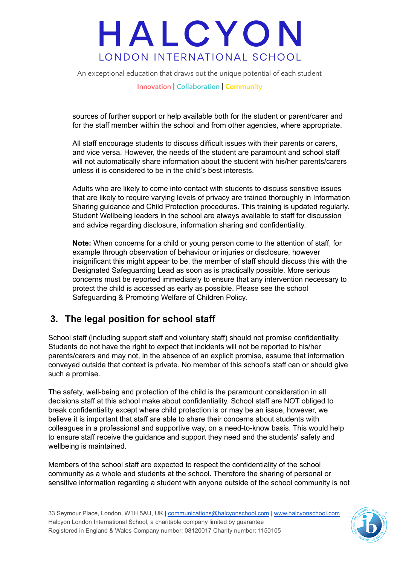An exceptional education that draws out the unique potential of each student

**Innovation | Collaboration | Community**

sources of further support or help available both for the student or parent/carer and for the staff member within the school and from other agencies, where appropriate.

All staff encourage students to discuss difficult issues with their parents or carers, and vice versa. However, the needs of the student are paramount and school staff will not automatically share information about the student with his/her parents/carers unless it is considered to be in the child's best interests.

Adults who are likely to come into contact with students to discuss sensitive issues that are likely to require varying levels of privacy are trained thoroughly in Information Sharing guidance and Child Protection procedures. This training is updated regularly. Student Wellbeing leaders in the school are always available to staff for discussion and advice regarding disclosure, information sharing and confidentiality.

**Note:** When concerns for a child or young person come to the attention of staff, for example through observation of behaviour or injuries or disclosure, however insignificant this might appear to be, the member of staff should discuss this with the Designated Safeguarding Lead as soon as is practically possible. More serious concerns must be reported immediately to ensure that any intervention necessary to protect the child is accessed as early as possible. Please see the school Safeguarding & Promoting Welfare of Children Policy.

### **3. The legal position for school staff**

School staff (including support staff and voluntary staff) should not promise confidentiality. Students do not have the right to expect that incidents will not be reported to his/her parents/carers and may not, in the absence of an explicit promise, assume that information conveyed outside that context is private. No member of this school's staff can or should give such a promise.

The safety, well-being and protection of the child is the paramount consideration in all decisions staff at this school make about confidentiality. School staff are NOT obliged to break confidentiality except where child protection is or may be an issue, however, we believe it is important that staff are able to share their concerns about students with colleagues in a professional and supportive way, on a need-to-know basis. This would help to ensure staff receive the guidance and support they need and the students' safety and wellbeing is maintained.

Members of the school staff are expected to respect the confidentiality of the school community as a whole and students at the school. Therefore the sharing of personal or sensitive information regarding a student with anyone outside of the school community is not

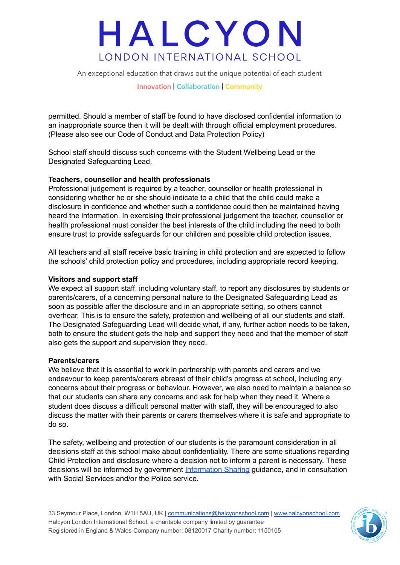An exceptional education that draws out the unique potential of each student

**Innovation | Collaboration | Community**

permitted. Should a member of staff be found to have disclosed confidential information to an inappropriate source then it will be dealt with through official employment procedures. (Please also see our Code of Conduct and Data Protection Policy)

School staff should discuss such concerns with the Student Wellbeing Lead or the Designated Safeguarding Lead.

#### **Teachers, counsellor and health professionals**

Professional judgement is required by a teacher, counsellor or health professional in considering whether he or she should indicate to a child that the child could make a disclosure in confidence and whether such a confidence could then be maintained having heard the information. In exercising their professional judgement the teacher, counsellor or health professional must consider the best interests of the child including the need to both ensure trust to provide safeguards for our children and possible child protection issues.

All teachers and all staff receive basic training in child protection and are expected to follow the schools' child protection policy and procedures, including appropriate record keeping.

#### **Visitors and support staff**

We expect all support staff, including voluntary staff, to report any disclosures by students or parents/carers, of a concerning personal nature to the Designated Safeguarding Lead as soon as possible after the disclosure and in an appropriate setting, so others cannot overhear. This is to ensure the safety, protection and wellbeing of all our students and staff. The Designated Safeguarding Lead will decide what, if any, further action needs to be taken, both to ensure the student gets the help and support they need and that the member of staff also gets the support and supervision they need.

#### **Parents/carers**

We believe that it is essential to work in partnership with parents and carers and we endeavour to keep parents/carers abreast of their child's progress at school, including any concerns about their progress or behaviour. However, we also need to maintain a balance so that our students can share any concerns and ask for help when they need it. Where a student does discuss a difficult personal matter with staff, they will be encouraged to also discuss the matter with their parents or carers themselves where it is safe and appropriate to do so.

The safety, wellbeing and protection of our students is the paramount consideration in all decisions staff at this school make about confidentiality. There are some situations regarding Child Protection and disclosure where a decision not to inform a parent is necessary. These decisions will be informed by government [Information](https://assets.publishing.service.gov.uk/government/uploads/system/uploads/attachment_data/file/721581/Information_sharing_advice_practitioners_safeguarding_services.pdf) Sharing guidance, and in consultation with Social Services and/or the Police service.